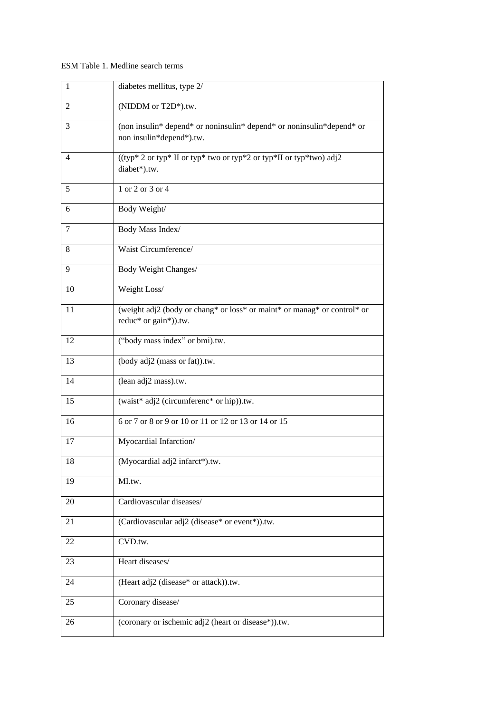## ESM Table 1. Medline search terms

| $\mathbf{1}$ | diabetes mellitus, type 2/                                                                        |
|--------------|---------------------------------------------------------------------------------------------------|
| 2            | (NIDDM or T2D*).tw.                                                                               |
| 3            | (non insulin* depend* or noninsulin* depend* or noninsulin*depend* or<br>non insulin*depend*).tw. |
| 4            | ((typ* 2 or typ* II or typ* two or typ*2 or typ*II or typ*two) adj2<br>diabet*).tw.               |
| 5            | 1 or 2 or 3 or 4                                                                                  |
| 6            | Body Weight/                                                                                      |
| 7            | Body Mass Index/                                                                                  |
| 8            | Waist Circumference/                                                                              |
| 9            | Body Weight Changes/                                                                              |
| 10           | Weight Loss/                                                                                      |
| 11           | (weight adj2 (body or chang* or loss* or maint* or manag* or control* or<br>reduc* or gain*)).tw. |
| 12           | ("body mass index" or bmi).tw.                                                                    |
| 13           | (body adj2 (mass or fat)).tw.                                                                     |
| 14           | (lean adj2 mass).tw.                                                                              |
| 15           | (waist* adj2 (circumferenc* or hip)).tw.                                                          |
| 16           | 6 or 7 or 8 or 9 or 10 or 11 or 12 or 13 or 14 or 15                                              |
| 17           | Myocardial Infarction/                                                                            |
| 18           | (Myocardial adj2 infarct*).tw.                                                                    |
| 19           | MI.tw.                                                                                            |
| 20           | Cardiovascular diseases/                                                                          |
| 21           | (Cardiovascular adj2 (disease* or event*)).tw.                                                    |
| 22           | CVD.tw.                                                                                           |
| 23           | Heart diseases/                                                                                   |
| 24           | (Heart adj2 (disease* or attack)).tw.                                                             |
| 25           | Coronary disease/                                                                                 |
| 26           | (coronary or ischemic adj2 (heart or disease*)).tw.                                               |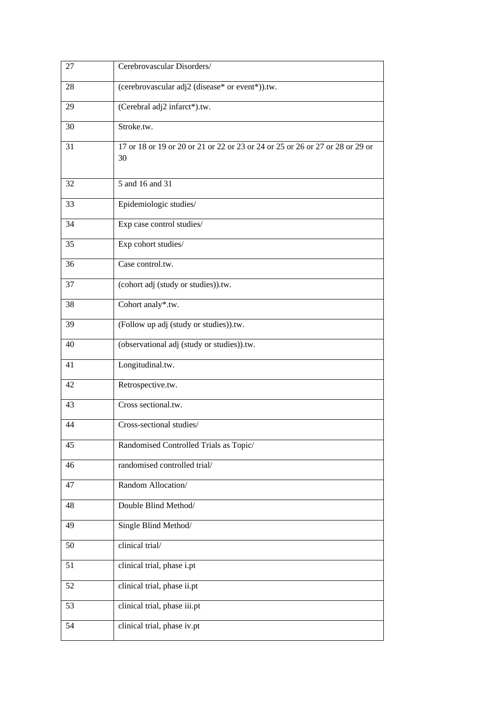| 27 | Cerebrovascular Disorders/                                                          |
|----|-------------------------------------------------------------------------------------|
| 28 | (cerebrovascular adj2 (disease* or event*)).tw.                                     |
| 29 | (Cerebral adj2 infarct*).tw.                                                        |
| 30 | Stroke.tw.                                                                          |
| 31 | 17 or 18 or 19 or 20 or 21 or 22 or 23 or 24 or 25 or 26 or 27 or 28 or 29 or<br>30 |
| 32 | 5 and 16 and 31                                                                     |
| 33 | Epidemiologic studies/                                                              |
| 34 | Exp case control studies/                                                           |
| 35 | Exp cohort studies/                                                                 |
| 36 | Case control.tw.                                                                    |
| 37 | (cohort adj (study or studies)).tw.                                                 |
| 38 | Cohort analy*.tw.                                                                   |
| 39 | (Follow up adj (study or studies)).tw.                                              |
| 40 | (observational adj (study or studies)).tw.                                          |
| 41 | Longitudinal.tw.                                                                    |
| 42 | Retrospective.tw.                                                                   |
| 43 | Cross sectional.tw.                                                                 |
| 44 | Cross-sectional studies/                                                            |
| 45 | Randomised Controlled Trials as Topic/                                              |
| 46 | randomised controlled trial/                                                        |
| 47 | Random Allocation/                                                                  |
| 48 | Double Blind Method/                                                                |
| 49 | Single Blind Method/                                                                |
| 50 | clinical trial/                                                                     |
| 51 | clinical trial, phase i.pt                                                          |
| 52 | clinical trial, phase ii.pt                                                         |
| 53 | clinical trial, phase iii.pt                                                        |
| 54 | clinical trial, phase iv.pt                                                         |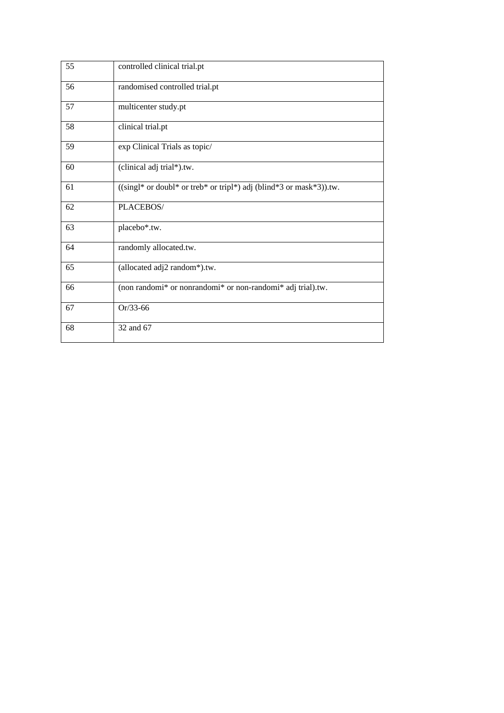| 55 | controlled clinical trial.pt                                                   |
|----|--------------------------------------------------------------------------------|
| 56 | randomised controlled trial.pt                                                 |
| 57 | multicenter study.pt                                                           |
| 58 | clinical trial.pt                                                              |
| 59 | exp Clinical Trials as topic/                                                  |
| 60 | (clinical adj trial*).tw.                                                      |
| 61 | $((\text{sing}1^*)$ or doubl* or treb* or tripl*) adj (blind*3 or mask*3)).tw. |
| 62 | PLACEBOS/                                                                      |
| 63 | placebo*.tw.                                                                   |
| 64 | randomly allocated.tw.                                                         |
| 65 | (allocated adj2 random*).tw.                                                   |
| 66 | (non randomi* or nonrandomi* or non-randomi* adj trial).tw.                    |
| 67 | Or/33-66                                                                       |
| 68 | 32 and 67                                                                      |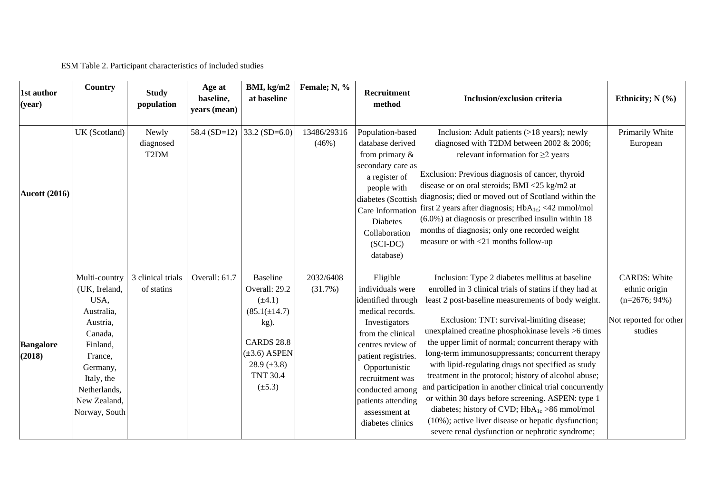ESM Table 2. Participant characteristics of included studies

| 1st author<br>(year)       | Country                                                                                                                                                                       | <b>Study</b><br>population              | Age at<br>baseline,<br>years (mean) | BMI, kg/m2<br>at baseline                                                                                                                                                      | Female; N, %            | Recruitment<br>method                                                                                                                                                                                                                                                      | Inclusion/exclusion criteria                                                                                                                                                                                                                                                                                                                                                                                                                                                                                                                                                                                                                                                                                                                                                        | Ethnicity; $N$ (%)                                                                            |
|----------------------------|-------------------------------------------------------------------------------------------------------------------------------------------------------------------------------|-----------------------------------------|-------------------------------------|--------------------------------------------------------------------------------------------------------------------------------------------------------------------------------|-------------------------|----------------------------------------------------------------------------------------------------------------------------------------------------------------------------------------------------------------------------------------------------------------------------|-------------------------------------------------------------------------------------------------------------------------------------------------------------------------------------------------------------------------------------------------------------------------------------------------------------------------------------------------------------------------------------------------------------------------------------------------------------------------------------------------------------------------------------------------------------------------------------------------------------------------------------------------------------------------------------------------------------------------------------------------------------------------------------|-----------------------------------------------------------------------------------------------|
| <b>Aucott (2016)</b>       | UK (Scotland)                                                                                                                                                                 | Newly<br>diagnosed<br>T <sub>2</sub> DM | 58.4 $(SD=12)$                      | 33.2 $(SD=6.0)$                                                                                                                                                                | 13486/29316<br>(46%)    | Population-based<br>database derived<br>from primary $\&$<br>secondary care as<br>a register of<br>people with<br>Care Information<br><b>Diabetes</b><br>Collaboration<br>$(SCI-DC)$<br>database)                                                                          | Inclusion: Adult patients (>18 years); newly<br>diagnosed with T2DM between 2002 & 2006;<br>relevant information for $\geq$ 2 years<br>Exclusion: Previous diagnosis of cancer, thyroid<br>disease or on oral steroids; BMI <25 kg/m2 at<br>diabetes (Scottish diagnosis; died or moved out of Scotland within the<br>first 2 years after diagnosis; $HbA_{1c}$ ; <42 mmol/mol<br>$(6.0\%)$ at diagnosis or prescribed insulin within 18<br>months of diagnosis; only one recorded weight<br>measure or with $\langle 21 \rangle$ months follow-up                                                                                                                                                                                                                                  | Primarily White<br>European                                                                   |
| <b>Bangalore</b><br>(2018) | Multi-country<br>(UK, Ireland,<br>USA,<br>Australia,<br>Austria,<br>Canada,<br>Finland,<br>France,<br>Germany,<br>Italy, the<br>Netherlands,<br>New Zealand,<br>Norway, South | 3 clinical trials<br>of statins         | Overall: 61.7                       | <b>Baseline</b><br>Overall: 29.2<br>$(\pm 4.1)$<br>$(85.1 (\pm 14.7))$<br>kg).<br><b>CARDS 28.8</b><br>$(\pm 3.6)$ ASPEN<br>28.9 $(\pm 3.8)$<br><b>TNT 30.4</b><br>$(\pm 5.3)$ | 2032/6408<br>$(31.7\%)$ | Eligible<br>individuals were<br>identified through<br>medical records.<br>Investigators<br>from the clinical<br>centres review of<br>patient registries.<br>Opportunistic<br>recruitment was<br>conducted among<br>patients attending<br>assessment at<br>diabetes clinics | Inclusion: Type 2 diabetes mellitus at baseline<br>enrolled in 3 clinical trials of statins if they had at<br>least 2 post-baseline measurements of body weight.<br>Exclusion: TNT: survival-limiting disease;<br>unexplained creatine phosphokinase levels >6 times<br>the upper limit of normal; concurrent therapy with<br>long-term immunosuppressants; concurrent therapy<br>with lipid-regulating drugs not specified as study<br>treatment in the protocol; history of alcohol abuse;<br>and participation in another clinical trial concurrently<br>or within 30 days before screening. ASPEN: type 1<br>diabetes; history of CVD; HbA <sub>1c</sub> >86 mmol/mol<br>(10%); active liver disease or hepatic dysfunction;<br>severe renal dysfunction or nephrotic syndrome; | <b>CARDS: White</b><br>ethnic origin<br>$(n=2676; 94\%)$<br>Not reported for other<br>studies |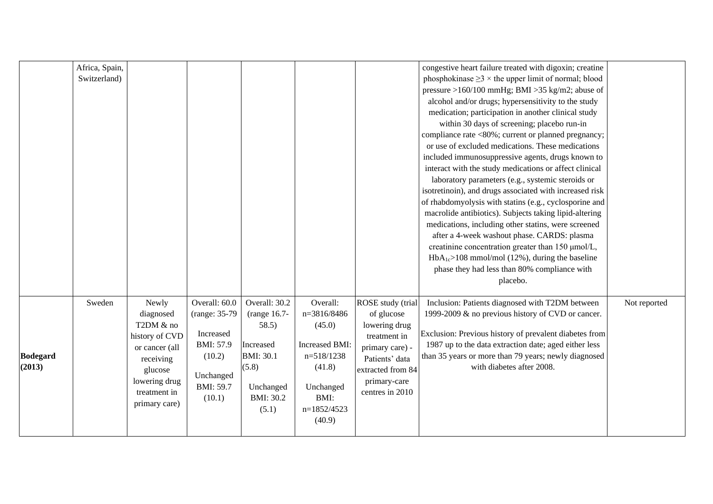|                           | Africa, Spain,<br>Switzerland) |                                                                                                                                               |                                                                                                                |                                                                                                                            |                                                                                                                             |                                                                                                                                                               | congestive heart failure treated with digoxin; creatine<br>phosphokinase $\geq$ 3 × the upper limit of normal; blood<br>pressure >160/100 mmHg; BMI >35 kg/m2; abuse of<br>alcohol and/or drugs; hypersensitivity to the study<br>medication; participation in another clinical study<br>within 30 days of screening; placebo run-in<br>compliance rate <80%; current or planned pregnancy;<br>or use of excluded medications. These medications<br>included immunosuppressive agents, drugs known to<br>interact with the study medications or affect clinical<br>laboratory parameters (e.g., systemic steroids or<br>isotretinoin), and drugs associated with increased risk<br>of rhabdomyolysis with statins (e.g., cyclosporine and<br>macrolide antibiotics). Subjects taking lipid-altering<br>medications, including other statins, were screened<br>after a 4-week washout phase. CARDS: plasma<br>creatinine concentration greater than 150 µmol/L,<br>$HbA_{1c} > 108$ mmol/mol (12%), during the baseline<br>phase they had less than 80% compliance with<br>placebo. |              |
|---------------------------|--------------------------------|-----------------------------------------------------------------------------------------------------------------------------------------------|----------------------------------------------------------------------------------------------------------------|----------------------------------------------------------------------------------------------------------------------------|-----------------------------------------------------------------------------------------------------------------------------|---------------------------------------------------------------------------------------------------------------------------------------------------------------|------------------------------------------------------------------------------------------------------------------------------------------------------------------------------------------------------------------------------------------------------------------------------------------------------------------------------------------------------------------------------------------------------------------------------------------------------------------------------------------------------------------------------------------------------------------------------------------------------------------------------------------------------------------------------------------------------------------------------------------------------------------------------------------------------------------------------------------------------------------------------------------------------------------------------------------------------------------------------------------------------------------------------------------------------------------------------------|--------------|
| <b>Bodegard</b><br>(2013) | Sweden                         | Newly<br>diagnosed<br>T2DM & no<br>history of CVD<br>or cancer (all<br>receiving<br>glucose<br>lowering drug<br>treatment in<br>primary care) | Overall: 60.0<br>(range: 35-79)<br>Increased<br><b>BMI: 57.9</b><br>(10.2)<br>Unchanged<br>BMI: 59.7<br>(10.1) | Overall: 30.2<br>(range 16.7-<br>58.5)<br>Increased<br><b>BMI: 30.1</b><br>(5.8)<br>Unchanged<br><b>BMI: 30.2</b><br>(5.1) | Overall:<br>n=3816/8486<br>(45.0)<br>Increased BMI:<br>$n=518/1238$<br>(41.8)<br>Unchanged<br>BMI:<br>n=1852/4523<br>(40.9) | ROSE study (trial<br>of glucose<br>lowering drug<br>treatment in<br>primary care) -<br>Patients' data<br>extracted from 84<br>primary-care<br>centres in 2010 | Inclusion: Patients diagnosed with T2DM between<br>1999-2009 & no previous history of CVD or cancer.<br>Exclusion: Previous history of prevalent diabetes from<br>1987 up to the data extraction date; aged either less<br>than 35 years or more than 79 years; newly diagnosed<br>with diabetes after 2008.                                                                                                                                                                                                                                                                                                                                                                                                                                                                                                                                                                                                                                                                                                                                                                       | Not reported |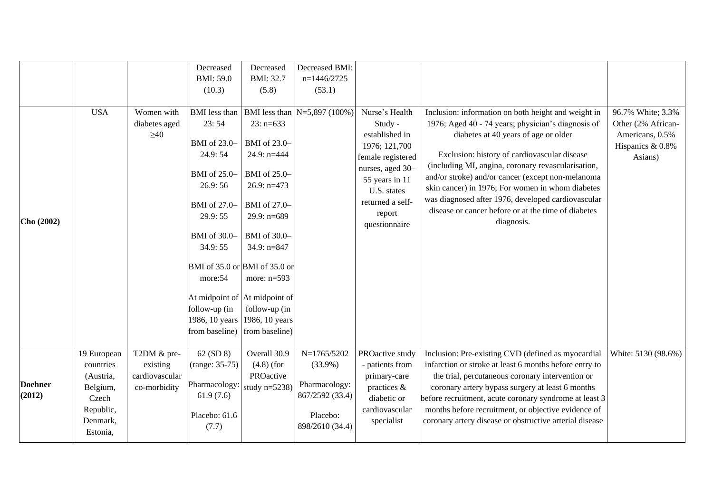|                          |                                                                                                 |                                                           | Decreased<br><b>BMI: 59.0</b><br>(10.3)                                                                                                                                                                                                                                                                   | Decreased<br>BMI: 32.7<br>(5.8)                                                                                                                                                   | Decreased BMI:<br>$n=1446/2725$<br>(53.1)                                                    |                                                                                                                                                                                       |                                                                                                                                                                                                                                                                                                                                                                                                                                                                                             |                                                                                           |
|--------------------------|-------------------------------------------------------------------------------------------------|-----------------------------------------------------------|-----------------------------------------------------------------------------------------------------------------------------------------------------------------------------------------------------------------------------------------------------------------------------------------------------------|-----------------------------------------------------------------------------------------------------------------------------------------------------------------------------------|----------------------------------------------------------------------------------------------|---------------------------------------------------------------------------------------------------------------------------------------------------------------------------------------|---------------------------------------------------------------------------------------------------------------------------------------------------------------------------------------------------------------------------------------------------------------------------------------------------------------------------------------------------------------------------------------------------------------------------------------------------------------------------------------------|-------------------------------------------------------------------------------------------|
| Cho (2002)               | <b>USA</b>                                                                                      | Women with<br>diabetes aged<br>$\geq 40$                  | <b>BMI</b> less than<br>23:54<br>BMI of 23.0-<br>24.9:54<br>BMI of 25.0-<br>26.9:56<br>BMI of 27.0-<br>29.9:55<br>BMI of 30.0-<br>34.9:55<br>BMI of 35.0 or BMI of 35.0 or<br>more:54<br>At midpoint of At midpoint of<br>follow-up (in<br>1986, 10 years 1986, 10 years<br>from baseline) from baseline) | $23: n=633$<br>BMI of 23.0-<br>24.9: $n=444$<br>BMI of 25.0-<br>26.9: $n=473$<br>BMI of 27.0-<br>29.9: $n=689$<br>BMI of 30.0-<br>34.9: $n=847$<br>more: $n=593$<br>follow-up (in | BMI less than $N=5,897(100\%)$                                                               | Nurse's Health<br>Study -<br>established in<br>1976; 121,700<br>female registered<br>nurses, aged 30-<br>55 years in 11<br>U.S. states<br>returned a self-<br>report<br>questionnaire | Inclusion: information on both height and weight in<br>1976; Aged 40 - 74 years; physician's diagnosis of<br>diabetes at 40 years of age or older<br>Exclusion: history of cardiovascular disease<br>(including MI, angina, coronary revascularisation,<br>and/or stroke) and/or cancer (except non-melanoma<br>skin cancer) in 1976; For women in whom diabetes<br>was diagnosed after 1976, developed cardiovascular<br>disease or cancer before or at the time of diabetes<br>diagnosis. | 96.7% White; 3.3%<br>Other (2% African-<br>Americans, 0.5%<br>Hispanics & 0.8%<br>Asians) |
| <b>Doehner</b><br>(2012) | 19 European<br>countries<br>(Austria,<br>Belgium,<br>Czech<br>Republic,<br>Denmark,<br>Estonia, | T2DM & pre-<br>existing<br>cardiovascular<br>co-morbidity | 62 (SD 8)<br>$(range: 35-75)$<br>Pharmacology:<br>61.9(7.6)<br>Placebo: 61.6<br>(7.7)                                                                                                                                                                                                                     | Overall 30.9<br>$(4.8)$ (for<br>PROactive<br>study $n=5238$ )                                                                                                                     | N=1765/5202<br>$(33.9\%)$<br>Pharmacology:<br>867/2592 (33.4)<br>Placebo:<br>898/2610 (34.4) | PROactive study<br>- patients from<br>primary-care<br>practices &<br>diabetic or<br>cardiovascular<br>specialist                                                                      | Inclusion: Pre-existing CVD (defined as myocardial<br>infarction or stroke at least 6 months before entry to<br>the trial, percutaneous coronary intervention or<br>coronary artery bypass surgery at least 6 months<br>before recruitment, acute coronary syndrome at least 3<br>months before recruitment, or objective evidence of<br>coronary artery disease or obstructive arterial disease                                                                                            | White: 5130 (98.6%)                                                                       |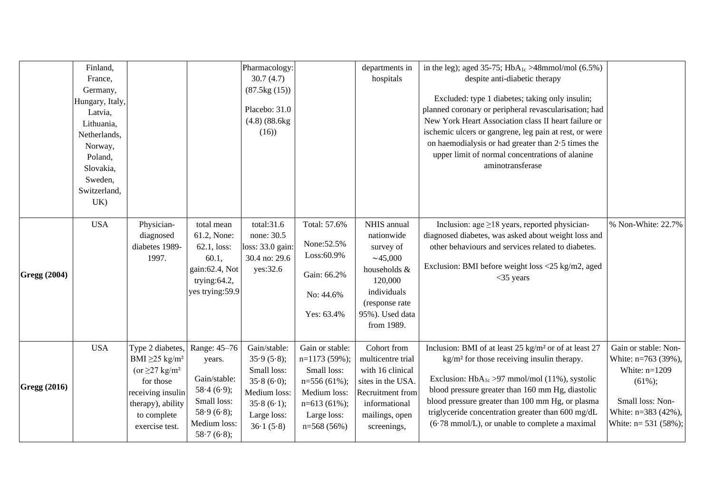|                     | Finland,<br>France,<br>Germany,<br>Hungary, Italy,<br>Latvia,<br>Lithuania,<br>Netherlands,<br>Norway,<br>Poland,<br>Slovakia,<br>Sweden,<br>Switzerland,<br>UK) |                                                                                                                                                                                |                                                                                                                 | Pharmacology:<br>30.7(4.7)<br>(87.5kg(15))<br>Placebo: 31.0<br>$(4.8)$ $(88.6kg)$<br>(16)                         |                                                                                                                                         | departments in<br>hospitals                                                                                                                     | in the leg); aged 35-75; $HbA_{1c} > 48$ mmol/mol (6.5%)<br>despite anti-diabetic therapy<br>Excluded: type 1 diabetes; taking only insulin;<br>planned coronary or peripheral revascularisation; had<br>New York Heart Association class II heart failure or<br>ischemic ulcers or gangrene, leg pain at rest, or were<br>on haemodialysis or had greater than 2.5 times the<br>upper limit of normal concentrations of alanine<br>aminotransferase |                                                                                                                                                      |
|---------------------|------------------------------------------------------------------------------------------------------------------------------------------------------------------|--------------------------------------------------------------------------------------------------------------------------------------------------------------------------------|-----------------------------------------------------------------------------------------------------------------|-------------------------------------------------------------------------------------------------------------------|-----------------------------------------------------------------------------------------------------------------------------------------|-------------------------------------------------------------------------------------------------------------------------------------------------|------------------------------------------------------------------------------------------------------------------------------------------------------------------------------------------------------------------------------------------------------------------------------------------------------------------------------------------------------------------------------------------------------------------------------------------------------|------------------------------------------------------------------------------------------------------------------------------------------------------|
| <b>Gregg (2004)</b> | <b>USA</b>                                                                                                                                                       | Physician-<br>diagnosed<br>diabetes 1989-<br>1997.                                                                                                                             | total mean<br>61.2, None:<br>62.1, loss:<br>60.1,<br>gain: 62.4, Not<br>trying: $64.2$ ,<br>yes trying:59.9     | total:31.6<br>none: 30.5<br>loss: 33.0 gain<br>30.4 no: 29.6<br>yes:32.6                                          | Total: 57.6%<br>None: 52.5%<br>Loss:60.9%<br>Gain: 66.2%<br>No: 44.6%<br>Yes: 63.4%                                                     | NHIS annual<br>nationwide<br>survey of<br>~145,000<br>households &<br>120,000<br>individuals<br>(response rate<br>95%). Used data<br>from 1989. | Inclusion: age $\geq$ 18 years, reported physician-<br>diagnosed diabetes, was asked about weight loss and<br>other behaviours and services related to diabetes.<br>Exclusion: BMI before weight loss <25 kg/m2, aged<br>$<$ 35 years                                                                                                                                                                                                                | % Non-White: 22.7%                                                                                                                                   |
| <b>Gregg (2016)</b> | <b>USA</b>                                                                                                                                                       | Type 2 diabetes,<br>BMI $\geq$ 25 kg/m <sup>2</sup><br>(or $\geq$ 27 kg/m <sup>2</sup><br>for those<br>receiving insulin<br>therapy), ability<br>to complete<br>exercise test. | Range: 45-76<br>years.<br>Gain/stable:<br>58.4(6.9);<br>Small loss:<br>58.9(6.8);<br>Medium loss:<br>58.7(6.8); | Gain/stable:<br>35.9(5.8);<br>Small loss:<br>35.8(6.0);<br>Medium loss:<br>35.8(6.1);<br>Large loss:<br>36.1(5.8) | Gain or stable:<br>$n=1173(59\%)$ ;<br>Small loss:<br>$n=556(61\%)$ ;<br>Medium loss:<br>$n=613(61\%)$ ;<br>Large loss:<br>$n=568(56%)$ | Cohort from<br>multicentre trial<br>with 16 clinical<br>sites in the USA.<br>Recruitment from<br>informational<br>mailings, open<br>screenings, | Inclusion: BMI of at least 25 kg/m <sup>2</sup> or of at least 27<br>$\text{kg/m}^2$ for those receiving insulin therapy.<br>Exclusion: $HbA_{1c} > 97$ mmol/mol (11%), systolic<br>blood pressure greater than 160 mm Hg, diastolic<br>blood pressure greater than 100 mm Hg, or plasma<br>triglyceride concentration greater than 600 mg/dL<br>$(6.78 \text{ mmol/L})$ , or unable to complete a maximal                                           | Gain or stable: Non-<br>White: n=763 (39%),<br>White: $n=1209$<br>$(61\%)$ ;<br>Small loss: Non-<br>White: n=383 (42%),<br>White: $n = 531 (58\%)$ ; |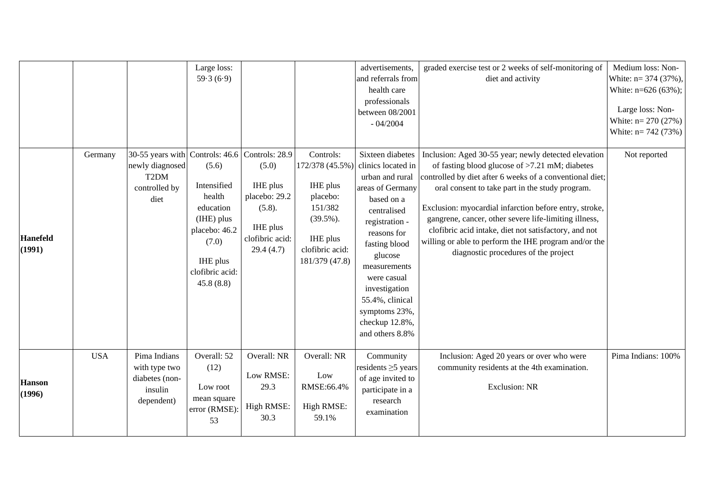|                           |            |                                                                                   | Large loss:<br>59.3(6.9)                                                                                                                                         |                                                                                          |                                                                                                                                  | advertisements,<br>and referrals from<br>health care<br>professionals<br>between 08/2001<br>$-04/2004$                                                                                                                                                                                           | graded exercise test or 2 weeks of self-monitoring of<br>diet and activity                                                                                                                                                                                                                                                                                                                                                                                                                           | Medium loss: Non-<br>White: $n = 374$ (37%),<br>White: $n=626(63\%)$ ;<br>Large loss: Non-<br>White: $n = 270(27%)$<br>White: $n = 742(73%)$ |
|---------------------------|------------|-----------------------------------------------------------------------------------|------------------------------------------------------------------------------------------------------------------------------------------------------------------|------------------------------------------------------------------------------------------|----------------------------------------------------------------------------------------------------------------------------------|--------------------------------------------------------------------------------------------------------------------------------------------------------------------------------------------------------------------------------------------------------------------------------------------------|------------------------------------------------------------------------------------------------------------------------------------------------------------------------------------------------------------------------------------------------------------------------------------------------------------------------------------------------------------------------------------------------------------------------------------------------------------------------------------------------------|----------------------------------------------------------------------------------------------------------------------------------------------|
| <b>Hanefeld</b><br>(1991) | Germany    | 30-55 years with<br>newly diagnosed<br>T <sub>2</sub> DM<br>controlled by<br>diet | Controls: 46.6 Controls: 28.9<br>(5.6)<br>Intensified<br>health<br>education<br>(IHE) plus<br>placebo: 46.2<br>(7.0)<br>IHE plus<br>clofibric acid:<br>45.8(8.8) | (5.0)<br>IHE plus<br>placebo: 29.2<br>(5.8).<br>IHE plus<br>clofibric acid:<br>29.4(4.7) | Controls:<br>172/378 (45.5%)<br>IHE plus<br>placebo:<br>151/382<br>$(39.5\%)$ .<br>IHE plus<br>clofibric acid:<br>181/379 (47.8) | Sixteen diabetes<br>clinics located in<br>urban and rural<br>areas of Germany<br>based on a<br>centralised<br>registration -<br>reasons for<br>fasting blood<br>glucose<br>measurements<br>were casual<br>investigation<br>55.4%, clinical<br>symptoms 23%,<br>checkup 12.8%,<br>and others 8.8% | Inclusion: Aged 30-55 year; newly detected elevation<br>of fasting blood glucose of $>7.21$ mM; diabetes<br>controlled by diet after 6 weeks of a conventional diet;<br>oral consent to take part in the study program.<br>Exclusion: myocardial infarction before entry, stroke,<br>gangrene, cancer, other severe life-limiting illness,<br>clofibric acid intake, diet not satisfactory, and not<br>willing or able to perform the IHE program and/or the<br>diagnostic procedures of the project | Not reported                                                                                                                                 |
| <b>Hanson</b><br>(1996)   | <b>USA</b> | Pima Indians<br>with type two<br>diabetes (non-<br>insulin<br>dependent)          | Overall: 52<br>(12)<br>Low root<br>mean square<br>error (RMSE):<br>53                                                                                            | Overall: NR<br>Low RMSE:<br>29.3<br>High RMSE:<br>30.3                                   | Overall: NR<br>Low<br>RMSE:66.4%<br>High RMSE:<br>59.1%                                                                          | Community<br>residents $\geq$ 5 years<br>of age invited to<br>participate in a<br>research<br>examination                                                                                                                                                                                        | Inclusion: Aged 20 years or over who were<br>community residents at the 4th examination.<br><b>Exclusion: NR</b>                                                                                                                                                                                                                                                                                                                                                                                     | Pima Indians: 100%                                                                                                                           |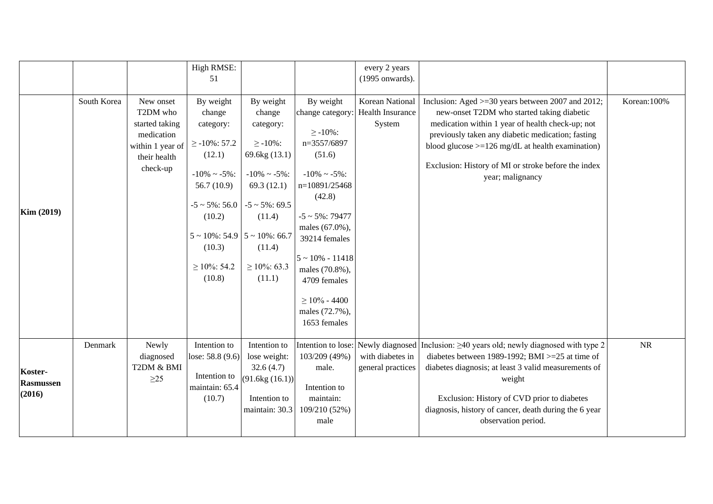|                                       |             |                                                                                                       | High RMSE:<br>51                                                                                                                                                                                                                    |                                                                                                                                                                                         |                                                                                                                                                                                                                                                                                                           | every 2 years<br>(1995 onwards).                                            |                                                                                                                                                                                                                                                                                                                                           |              |
|---------------------------------------|-------------|-------------------------------------------------------------------------------------------------------|-------------------------------------------------------------------------------------------------------------------------------------------------------------------------------------------------------------------------------------|-----------------------------------------------------------------------------------------------------------------------------------------------------------------------------------------|-----------------------------------------------------------------------------------------------------------------------------------------------------------------------------------------------------------------------------------------------------------------------------------------------------------|-----------------------------------------------------------------------------|-------------------------------------------------------------------------------------------------------------------------------------------------------------------------------------------------------------------------------------------------------------------------------------------------------------------------------------------|--------------|
| Kim (2019)                            | South Korea | New onset<br>T2DM who<br>started taking<br>medication<br>within 1 year of<br>their health<br>check-up | By weight<br>change<br>category:<br>$\geq$ -10%: 57.2<br>(12.1)<br>$-10\% \sim -5\%$ :<br>56.7 $(10.9)$<br>$-5 \sim 5\%$ : 56.0<br>(10.2)<br>$5 \sim 10\%$ : 54.9 $\mid 5 \sim 10\%$ : 66.7<br>(10.3)<br>$\geq$ 10%: 54.2<br>(10.8) | By weight<br>change<br>category:<br>$\geq -10\%$ :<br>69.6kg (13.1)<br>$-10\% \sim -5\%$ :<br>69.3 $(12.1)$<br>$-5 \sim 5\%$ : 69.5<br>(11.4)<br>(11.4)<br>$\geq 10\%$ : 63.3<br>(11.1) | By weight<br>change category:<br>$\geq -10\%$ :<br>n=3557/6897<br>(51.6)<br>$-10\% \sim -5\%$ :<br>n=10891/25468<br>(42.8)<br>$-5 \sim 5\% : 79477$<br>males (67.0%),<br>39214 females<br>$5 \sim 10\% - 11418$<br>males (70.8%),<br>4709 females<br>$\geq 10\%$ - 4400<br>males (72.7%),<br>1653 females | Korean National<br>Health Insurance<br>System                               | Inclusion: Aged >=30 years between 2007 and 2012;<br>new-onset T2DM who started taking diabetic<br>medication within 1 year of health check-up; not<br>previously taken any diabetic medication; fasting<br>blood glucose $>=126$ mg/dL at health examination)<br>Exclusion: History of MI or stroke before the index<br>year; malignancy | Korean: 100% |
| Koster-<br><b>Rasmussen</b><br>(2016) | Denmark     | Newly<br>diagnosed<br>T2DM & BMI<br>$\geq$ 25                                                         | Intention to<br>lose: 58.8 (9.6)<br>Intention to<br>maintain: 65.4<br>(10.7)                                                                                                                                                        | Intention to<br>lose weight:<br>32.6(4.7)<br>(91.6kg(16.1))<br>Intention to<br>maintain: 30.3                                                                                           | 103/209 (49%)<br>male.<br>Intention to<br>maintain:<br>109/210 (52%)<br>male                                                                                                                                                                                                                              | Intention to lose: Newly diagnosed<br>with diabetes in<br>general practices | Inclusion: $\geq$ 40 years old; newly diagnosed with type 2<br>diabetes between 1989-1992; BMI $>=$ 25 at time of<br>diabetes diagnosis; at least 3 valid measurements of<br>weight<br>Exclusion: History of CVD prior to diabetes<br>diagnosis, history of cancer, death during the 6 year<br>observation period.                        | $\rm NR$     |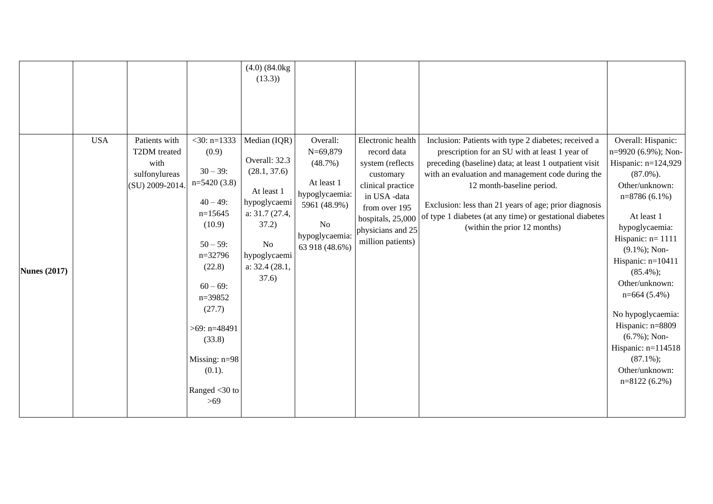|                     |            |                                                                           |                                                                                                                                                                                                                                                                  | $(4.0)$ $(84.0kg)$<br>(13.3)                                                                                                                             |                                                                                                                             |                                                                                                                                                                                        |                                                                                                                                                                                                                                                                                                                                                                                                         |                                                                                                                                                                                                                                                                                                                                                                                                                     |
|---------------------|------------|---------------------------------------------------------------------------|------------------------------------------------------------------------------------------------------------------------------------------------------------------------------------------------------------------------------------------------------------------|----------------------------------------------------------------------------------------------------------------------------------------------------------|-----------------------------------------------------------------------------------------------------------------------------|----------------------------------------------------------------------------------------------------------------------------------------------------------------------------------------|---------------------------------------------------------------------------------------------------------------------------------------------------------------------------------------------------------------------------------------------------------------------------------------------------------------------------------------------------------------------------------------------------------|---------------------------------------------------------------------------------------------------------------------------------------------------------------------------------------------------------------------------------------------------------------------------------------------------------------------------------------------------------------------------------------------------------------------|
| <b>Nunes (2017)</b> | <b>USA</b> | Patients with<br>T2DM treated<br>with<br>sulfonylureas<br>(SU) 2009-2014. | $<$ 30: n=1333<br>(0.9)<br>$30 - 39$ :<br>$n=5420(3.8)$<br>$40 - 49$ :<br>$n=15645$<br>(10.9)<br>$50 - 59$ :<br>$n=32796$<br>(22.8)<br>$60 - 69$ :<br>$n=39852$<br>(27.7)<br>$>69$ : n=48491<br>(33.8)<br>Missing: $n=98$<br>$(0.1)$ .<br>Ranged <30 to<br>$>69$ | Median (IQR)<br>Overall: 32.3<br>(28.1, 37.6)<br>At least 1<br>hypoglycaemi<br>a: 31.7 (27.4,<br>37.2)<br>No<br>hypoglycaemi<br>a: $32.4(28.1,$<br>37.6) | Overall:<br>$N=69,879$<br>(48.7%)<br>At least 1<br>hypoglycaemia:<br>5961 (48.9%)<br>No<br>hypoglycaemia:<br>63 918 (48.6%) | Electronic health<br>record data<br>system (reflects<br>customary<br>clinical practice<br>in USA -data<br>from over 195<br>hospitals, 25,000<br>physicians and 25<br>million patients) | Inclusion: Patients with type 2 diabetes; received a<br>prescription for an SU with at least 1 year of<br>preceding (baseline) data; at least 1 outpatient visit<br>with an evaluation and management code during the<br>12 month-baseline period.<br>Exclusion: less than 21 years of age; prior diagnosis<br>of type 1 diabetes (at any time) or gestational diabetes<br>(within the prior 12 months) | Overall: Hispanic:<br>n=9920 (6.9%); Non-<br>Hispanic: n=124,929<br>$(87.0\%)$ .<br>Other/unknown:<br>$n=8786(6.1\%)$<br>At least 1<br>hypoglycaemia:<br>Hispanic: $n = 1111$<br>$(9.1\%)$ ; Non-<br>Hispanic: n=10411<br>$(85.4\%);$<br>Other/unknown:<br>$n=664(5.4\%)$<br>No hypoglycaemia:<br>Hispanic: n=8809<br>$(6.7\%)$ ; Non-<br>Hispanic: $n=114518$<br>$(87.1\%)$ ;<br>Other/unknown:<br>$n=8122(6.2\%)$ |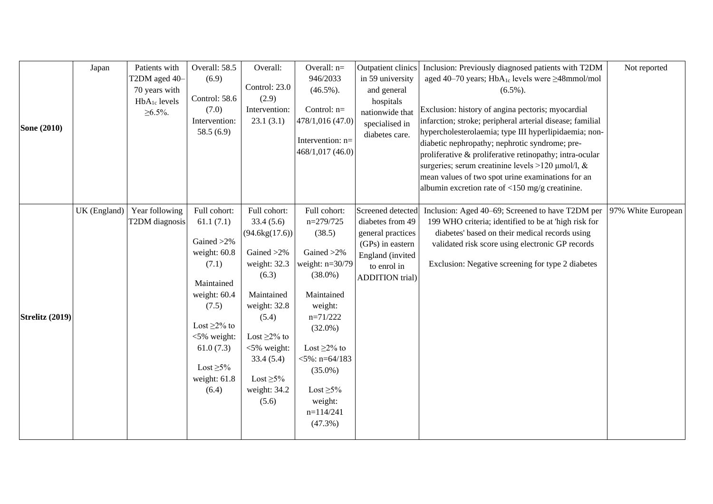|                    | Japan        | Patients with            | Overall: 58.5     | Overall:              | Overall: n=                | Outpatient clinics                    | Inclusion: Previously diagnosed patients with T2DM          | Not reported       |
|--------------------|--------------|--------------------------|-------------------|-----------------------|----------------------------|---------------------------------------|-------------------------------------------------------------|--------------------|
|                    |              | T2DM aged 40-            | (6.9)             |                       | 946/2033                   | in 59 university                      | aged 40–70 years; HbA <sub>1c</sub> levels were ≥48mmol/mol |                    |
|                    |              | 70 years with            |                   | Control: 23.0         | $(46.5\%)$ .               | and general                           | $(6.5\%)$ .                                                 |                    |
|                    |              | HbA <sub>1c</sub> levels | Control: 58.6     | (2.9)                 |                            | hospitals                             |                                                             |                    |
|                    |              | $\geq 6.5\%$ .           | (7.0)             | Intervention:         | Control: n=                | nationwide that                       | Exclusion: history of angina pectoris; myocardial           |                    |
| <b>Sone</b> (2010) |              |                          | Intervention:     | 23.1(3.1)             | 478/1,016 (47.0)           | specialised in                        | infarction; stroke; peripheral arterial disease; familial   |                    |
|                    |              |                          | 58.5 $(6.9)$      |                       |                            | diabetes care.                        | hypercholesterolaemia; type III hyperlipidaemia; non-       |                    |
|                    |              |                          |                   |                       | Intervention: n=           |                                       | diabetic nephropathy; nephrotic syndrome; pre-              |                    |
|                    |              |                          |                   |                       | 468/1,017 (46.0)           |                                       | proliferative & proliferative retinopathy; intra-ocular     |                    |
|                    |              |                          |                   |                       |                            |                                       | surgeries; serum creatinine levels >120 µmol/l, &           |                    |
|                    |              |                          |                   |                       |                            |                                       | mean values of two spot urine examinations for an           |                    |
|                    |              |                          |                   |                       |                            |                                       | albumin excretion rate of $<$ 150 mg/g creatinine.          |                    |
|                    |              |                          |                   |                       |                            |                                       |                                                             |                    |
|                    | UK (England) | Year following           | Full cohort:      | Full cohort:          | Full cohort:               | Screened detected                     | Inclusion: Aged 40–69; Screened to have T2DM per            | 97% White European |
|                    |              | T2DM diagnosis           | 61.1(7.1)         | 33.4(5.6)             | $n=279/725$                | diabetes from 49                      | 199 WHO criteria; identified to be at 'high risk for        |                    |
|                    |              |                          | Gained >2%        | (94.6kg(17.6))        | (38.5)                     | general practices<br>(GPs) in eastern | diabetes' based on their medical records using              |                    |
|                    |              |                          | weight: 60.8      | Gained >2%            | Gained >2%                 | England (invited                      | validated risk score using electronic GP records            |                    |
|                    |              |                          | (7.1)             | weight: 32.3          | weight: $n=30/79$          |                                       | Exclusion: Negative screening for type 2 diabetes           |                    |
|                    |              |                          |                   | (6.3)                 | $(38.0\%)$                 | to enrol in<br><b>ADDITION</b> trial) |                                                             |                    |
|                    |              |                          | Maintained        |                       |                            |                                       |                                                             |                    |
|                    |              |                          | weight: 60.4      | Maintained            | Maintained                 |                                       |                                                             |                    |
|                    |              |                          | (7.5)             | weight: 32.8          | weight:                    |                                       |                                                             |                    |
| Strelitz (2019)    |              |                          |                   | (5.4)                 | $n=71/222$                 |                                       |                                                             |                    |
|                    |              |                          | Lost $\geq$ 2% to |                       | $(32.0\%)$                 |                                       |                                                             |                    |
|                    |              |                          | $<$ 5% weight:    | Lost $\geq$ 2% to     |                            |                                       |                                                             |                    |
|                    |              |                          | 61.0(7.3)         | <5% weight:           | Lost $\geq$ 2% to          |                                       |                                                             |                    |
|                    |              |                          | Lost $\geq 5\%$   | 33.4(5.4)             | $<$ 5%: n=64/183           |                                       |                                                             |                    |
|                    |              |                          | weight: 61.8      | Lost $\geq 5\%$       | $(35.0\%)$                 |                                       |                                                             |                    |
|                    |              |                          |                   |                       |                            |                                       |                                                             |                    |
|                    |              |                          | (6.4)             | weight: 34.2<br>(5.6) | Lost $\geq 5\%$<br>weight: |                                       |                                                             |                    |
|                    |              |                          |                   |                       | $n=114/241$                |                                       |                                                             |                    |
|                    |              |                          |                   |                       |                            |                                       |                                                             |                    |
|                    |              |                          |                   |                       |                            |                                       |                                                             |                    |
|                    |              |                          |                   |                       | $(47.3\%)$                 |                                       |                                                             |                    |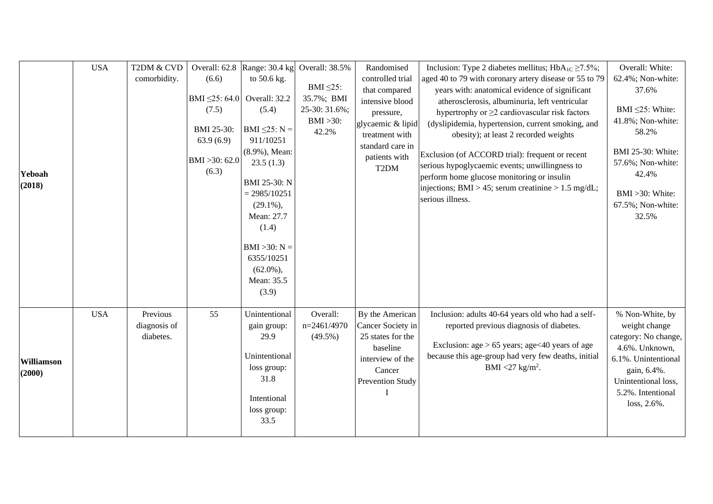|                      | <b>USA</b> | T2DM & CVD               |                                                    | Overall: 62.8 Range: 30.4 kg                                                                                                                                                                                  | Overall: 38.5%          | Randomised                                                                                    | Inclusion: Type 2 diabetes mellitus; $HbA_{1C} \ge 7.5\%$ ;                                                                                                                                                                                                                                                               | Overall: White:                                                                                                                         |
|----------------------|------------|--------------------------|----------------------------------------------------|---------------------------------------------------------------------------------------------------------------------------------------------------------------------------------------------------------------|-------------------------|-----------------------------------------------------------------------------------------------|---------------------------------------------------------------------------------------------------------------------------------------------------------------------------------------------------------------------------------------------------------------------------------------------------------------------------|-----------------------------------------------------------------------------------------------------------------------------------------|
|                      |            | comorbidity.             | (6.6)                                              | to 50.6 kg.                                                                                                                                                                                                   |                         | controlled trial                                                                              | aged 40 to 79 with coronary artery disease or 55 to 79                                                                                                                                                                                                                                                                    | 62.4%; Non-white:                                                                                                                       |
|                      |            |                          |                                                    |                                                                                                                                                                                                               | BMI $\leq$ 25:          | that compared                                                                                 | years with: anatomical evidence of significant                                                                                                                                                                                                                                                                            | 37.6%                                                                                                                                   |
|                      |            |                          | BMI $\leq$ 25: 64.0                                | Overall: 32.2                                                                                                                                                                                                 | 35.7%; BMI              | intensive blood                                                                               | atherosclerosis, albuminuria, left ventricular                                                                                                                                                                                                                                                                            |                                                                                                                                         |
|                      |            |                          | (7.5)                                              | (5.4)                                                                                                                                                                                                         | 25-30: 31.6%;           | pressure,                                                                                     | hypertrophy or $\geq$ 2 cardiovascular risk factors                                                                                                                                                                                                                                                                       | BMI $\leq$ 25: White:                                                                                                                   |
| Yeboah<br>(2018)     |            |                          | BMI 25-30:<br>63.9(6.9)<br>BMI > 30: 62.0<br>(6.3) | BMI $\leq$ 25: N =<br>911/10251<br>(8.9%), Mean:<br>23.5(1.3)<br>BMI 25-30: N<br>$= 2985/10251$<br>$(29.1\%)$<br>Mean: 27.7<br>(1.4)<br>$BMI > 30$ : $N =$<br>6355/10251<br>$(62.0\%)$<br>Mean: 35.5<br>(3.9) | $BMI >30$ :<br>42.2%    | glycaemic & lipid<br>treatment with<br>standard care in<br>patients with<br>T <sub>2</sub> DM | (dyslipidemia, hypertension, current smoking, and<br>obesity); at least 2 recorded weights<br>Exclusion (of ACCORD trial): frequent or recent<br>serious hypoglycaemic events; unwillingness to<br>perform home glucose monitoring or insulin<br> injections; BMI > 45; serum creatinine > 1.5 mg/dL;<br>serious illness. | 41.8%; Non-white:<br>58.2%<br><b>BMI</b> 25-30: White:<br>57.6%; Non-white:<br>42.4%<br>BMI >30: White:<br>67.5%; Non-white:<br>32.5%   |
|                      | <b>USA</b> | Previous<br>diagnosis of | 55                                                 | Unintentional<br>gain group:                                                                                                                                                                                  | Overall:<br>n=2461/4970 | By the American<br>Cancer Society in                                                          | Inclusion: adults 40-64 years old who had a self-<br>reported previous diagnosis of diabetes.                                                                                                                                                                                                                             | % Non-White, by<br>weight change                                                                                                        |
| Williamson<br>(2000) |            | diabetes.                |                                                    | 29.9<br>Unintentional<br>loss group:<br>31.8<br>Intentional<br>loss group:<br>33.5                                                                                                                            | $(49.5\%)$              | 25 states for the<br>baseline<br>interview of the<br>Cancer<br>Prevention Study               | Exclusion: $age > 65$ years; $age < 40$ years of age<br>because this age-group had very few deaths, initial<br>BMI $<$ 27 kg/m <sup>2</sup> .                                                                                                                                                                             | category: No change,<br>4.6%. Unknown,<br>6.1%. Unintentional<br>gain, 6.4%.<br>Unintentional loss,<br>5.2%. Intentional<br>loss, 2.6%. |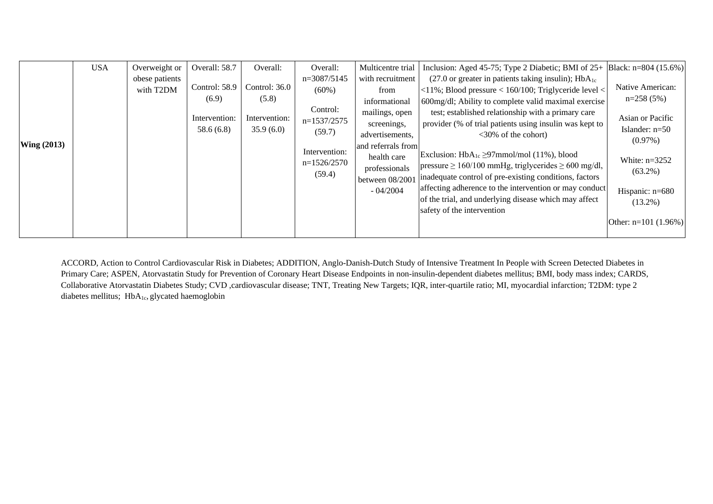|               | <b>USA</b> | Overweight or               | Overall: 58.7              | Overall:                   | Overall:                                                                                    | Multicentre trial  | Inclusion: Aged 45-75; Type 2 Diabetic; BMI of $25+$ Black: n=804 (15.6%)                                                                                                     |                                                                 |
|---------------|------------|-----------------------------|----------------------------|----------------------------|---------------------------------------------------------------------------------------------|--------------------|-------------------------------------------------------------------------------------------------------------------------------------------------------------------------------|-----------------------------------------------------------------|
|               |            | obese patients<br>with T2DM | Control: 58.9<br>(6.9)     | Control: 36.0<br>(5.8)     | $n=3087/5145$                                                                               | with recruitment   | $(27.0 \text{ or greater in patients taking insulin})$ ; HbA <sub>1c</sub>                                                                                                    |                                                                 |
|               |            |                             |                            |                            | $(60\%)$<br>Control:<br>$n=1537/2575$<br>(59.7)<br>Intervention:<br>$n=1526/2570$<br>(59.4) | from               | $ $ <11%; Blood pressure < 160/100; Triglyceride level <                                                                                                                      | Native American:                                                |
| Wing $(2013)$ |            |                             |                            |                            |                                                                                             | informational      | 600mg/dl; Ability to complete valid maximal exercise                                                                                                                          | $n=258(5%)$                                                     |
|               |            |                             | Intervention:<br>58.6(6.8) | Intervention:<br>35.9(6.0) |                                                                                             | mailings, open     | test; established relationship with a primary care                                                                                                                            | Asian or Pacific                                                |
|               |            |                             |                            |                            |                                                                                             | screenings,        | provider (% of trial patients using insulin was kept to                                                                                                                       | Islander: $n=50$<br>$(0.97\%)$<br>White: $n=3252$<br>$(63.2\%)$ |
|               |            |                             |                            |                            |                                                                                             | advertisements,    | $<30\%$ of the cohort)                                                                                                                                                        |                                                                 |
|               |            |                             |                            |                            |                                                                                             | and referrals from | Exclusion: $HbA_{1c} \geq 97$ mmol/mol (11%), blood<br>$ pressure \ge 160/100$ mmHg, triglycerides $\ge 600$ mg/dl,<br>inadequate control of pre-existing conditions, factors |                                                                 |
|               |            |                             |                            |                            |                                                                                             | health care        |                                                                                                                                                                               |                                                                 |
|               |            |                             |                            |                            |                                                                                             | professionals      |                                                                                                                                                                               |                                                                 |
|               |            |                             |                            |                            |                                                                                             | between 08/2001    |                                                                                                                                                                               |                                                                 |
|               |            |                             |                            |                            |                                                                                             | $-04/2004$         | affecting adherence to the intervention or may conduct                                                                                                                        | Hispanic: n=680                                                 |
|               |            |                             |                            |                            |                                                                                             |                    | of the trial, and underlying disease which may affect                                                                                                                         | $(13.2\%)$                                                      |
|               |            |                             |                            |                            |                                                                                             |                    | safety of the intervention                                                                                                                                                    |                                                                 |
|               |            |                             |                            |                            |                                                                                             |                    |                                                                                                                                                                               | Other: $n=101$ (1.96%)                                          |
|               |            |                             |                            |                            |                                                                                             |                    |                                                                                                                                                                               |                                                                 |

ACCORD, Action to Control Cardiovascular Risk in Diabetes; ADDITION, Anglo-Danish-Dutch Study of Intensive Treatment In People with Screen Detected Diabetes in Primary Care; ASPEN, Atorvastatin Study for Prevention of Coronary Heart Disease Endpoints in non-insulin-dependent diabetes mellitus; BMI, body mass index; CARDS, Collaborative Atorvastatin Diabetes Study; CVD ,cardiovascular disease; TNT, Treating New Targets; IQR, inter-quartile ratio; MI, myocardial infarction; T2DM: type 2 diabetes mellitus; HbA<sub>1c</sub>, glycated haemoglobin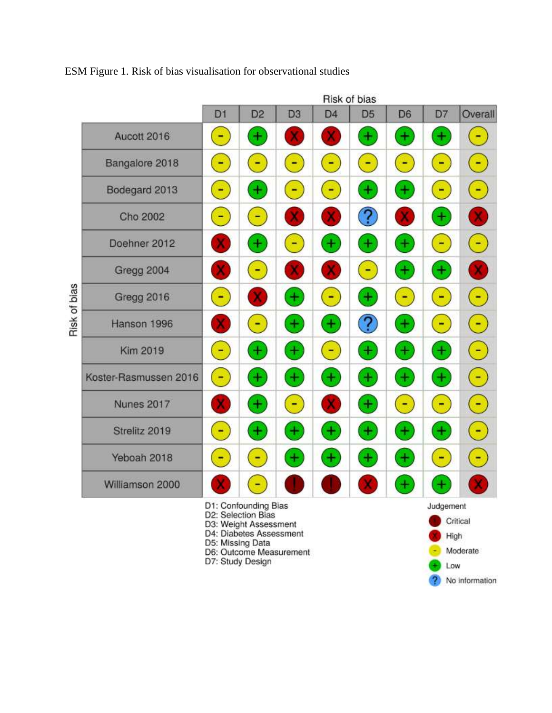Risk of bias Overall D<sub>1</sub> D<sub>2</sub> D<sub>3</sub> D<sub>4</sub> D<sub>5</sub> D<sub>6</sub> D7 Aucott 2016  $\ddot{}$  $\ddot{}$  $\pm$  $\pm$ ۳  $\blacksquare$ Ξ Bangalore 2018 Ξ ۳ Ξ  $\overline{\phantom{0}}$  $\blacksquare$ Ξ ۳ Bodegard 2013  $\pm$  $\ddot{}$ + Ξ ÷ ۳ ۰  $\overline{?}$  $\pm$ Cho 2002 ۳ x  $\ddot{}$  $\ddot{}$  $\ddot{}$  $+$  $\overline{\mathbb{C}}$  $\blacksquare$ Doehner 2012 ÷  $\pm$ Ξ  $\overline{\phantom{a}}$  $\pm$ Gregg 2004 x Risk of bias  $\mathbf{r}$  $\blacksquare$  $\pm$  $\blacksquare$ F F Gregg 2016  $\ddot{}$  $\ddot{}$  $\overline{?}$ Ŧ  $\ddot{}$  $\mathbf{r}$ Hanson 1996  $\blacksquare$  $\blacksquare$  $+$  $\pm$ È.  $\left| + \right\rangle$ Ŧ  $\overline{a}$  $+$  $\blacksquare$ Kim 2019  $\ddot{}$  $\ddot{}$  $\blacksquare$  $\ddot{}$  $\ddot{}$  $\pm$  $\pm$ Koster-Rasmussen 2016  $\blacksquare$  $\ddot{}$  $\ddot{}$  $\overline{\mathbb{R}}$  $\blacksquare$ F. **Nunes 2017** x ۳ x  $\pm$  $+$  $\ddot{}$  $\pm$  $\pm$ Strelitz 2019  $\blacksquare$  $\pm$ ۳  $\ddot{}$  $\ddot{}$ Yeboah 2018  $\pm$ ۳ + ۳ ۰ × Williamson 2000  $\pm$ ۳ + D1: Confounding Bias Judgement D2: Selection Bias Critical D3: Weight Assessment D4: Diabetes Assessment High D5: Missing Data Moderate D6: Outcome Measurement ÷

ESM Figure 1. Risk of bias visualisation for observational studies

D7: Study Design

Low

No information